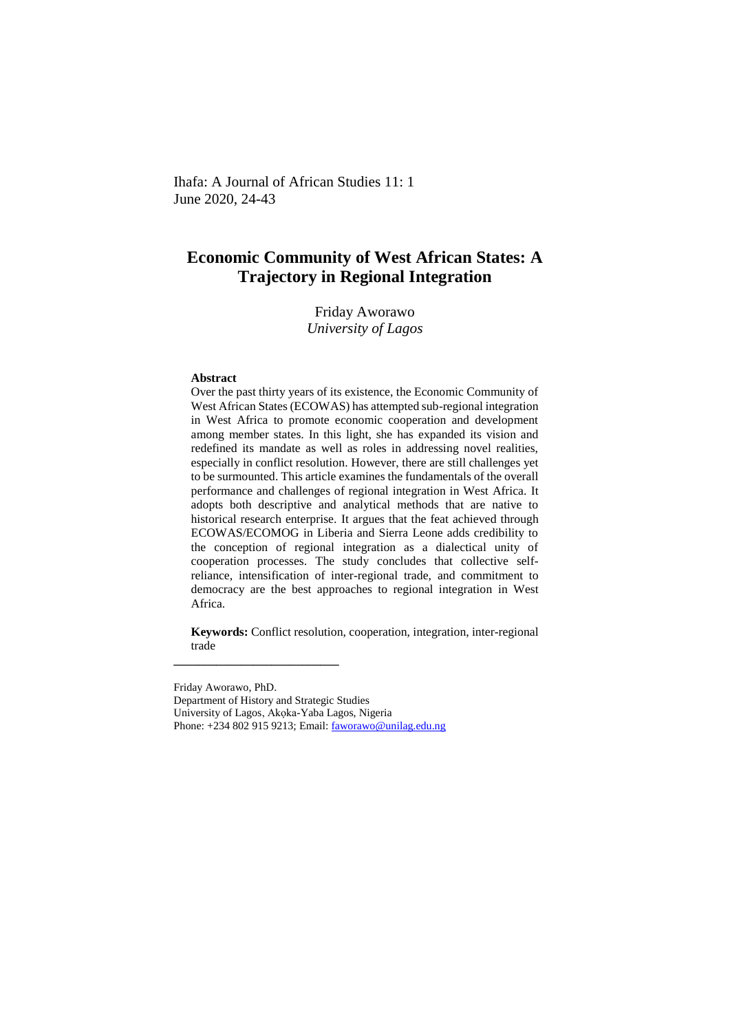Ihafa: A Journal of African Studies 11: 1 June 2020, 24-43

# **Economic Community of West African States: A Trajectory in Regional Integration**

Friday Aworawo *University of Lagos*

#### **Abstract**

Over the past thirty years of its existence, the Economic Community of West African States (ECOWAS) has attempted sub-regional integration in West Africa to promote economic cooperation and development among member states. In this light, she has expanded its vision and redefined its mandate as well as roles in addressing novel realities, especially in conflict resolution. However, there are still challenges yet to be surmounted. This article examines the fundamentals of the overall performance and challenges of regional integration in West Africa. It adopts both descriptive and analytical methods that are native to historical research enterprise. It argues that the feat achieved through ECOWAS/ECOMOG in Liberia and Sierra Leone adds credibility to the conception of regional integration as a dialectical unity of cooperation processes. The study concludes that collective selfreliance, intensification of inter-regional trade, and commitment to democracy are the best approaches to regional integration in West Africa.

**Keywords:** Conflict resolution, cooperation, integration, inter-regional trade

Friday Aworawo, PhD. Department of History and Strategic Studies University of Lagos, Akọka-Yaba Lagos, Nigeria Phone: +234 802 915 9213; Email: [faworawo@unilag.edu.ng](mailto:faworawo@unilag.edu.ng)

**\_\_\_\_\_\_\_\_\_\_\_\_\_\_\_\_\_\_\_\_\_\_\_\_\_\_\_**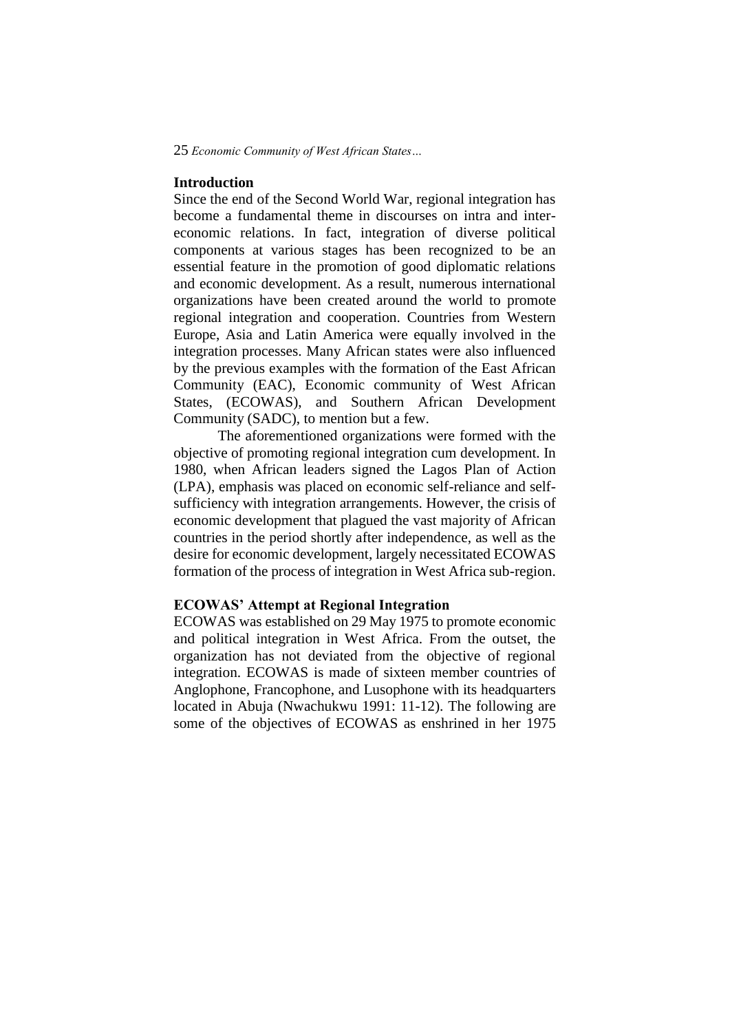# **Introduction**

Since the end of the Second World War, regional integration has become a fundamental theme in discourses on intra and intereconomic relations. In fact, integration of diverse political components at various stages has been recognized to be an essential feature in the promotion of good diplomatic relations and economic development. As a result, numerous international organizations have been created around the world to promote regional integration and cooperation. Countries from Western Europe, Asia and Latin America were equally involved in the integration processes. Many African states were also influenced by the previous examples with the formation of the East African Community (EAC), Economic community of West African States, (ECOWAS), and Southern African Development Community (SADC), to mention but a few.

The aforementioned organizations were formed with the objective of promoting regional integration cum development. In 1980, when African leaders signed the Lagos Plan of Action (LPA), emphasis was placed on economic self-reliance and selfsufficiency with integration arrangements. However, the crisis of economic development that plagued the vast majority of African countries in the period shortly after independence, as well as the desire for economic development, largely necessitated ECOWAS formation of the process of integration in West Africa sub-region.

# **ECOWAS' Attempt at Regional Integration**

ECOWAS was established on 29 May 1975 to promote economic and political integration in West Africa. From the outset, the organization has not deviated from the objective of regional integration. ECOWAS is made of sixteen member countries of Anglophone, Francophone, and Lusophone with its headquarters located in Abuja (Nwachukwu 1991: 11-12). The following are some of the objectives of ECOWAS as enshrined in her 1975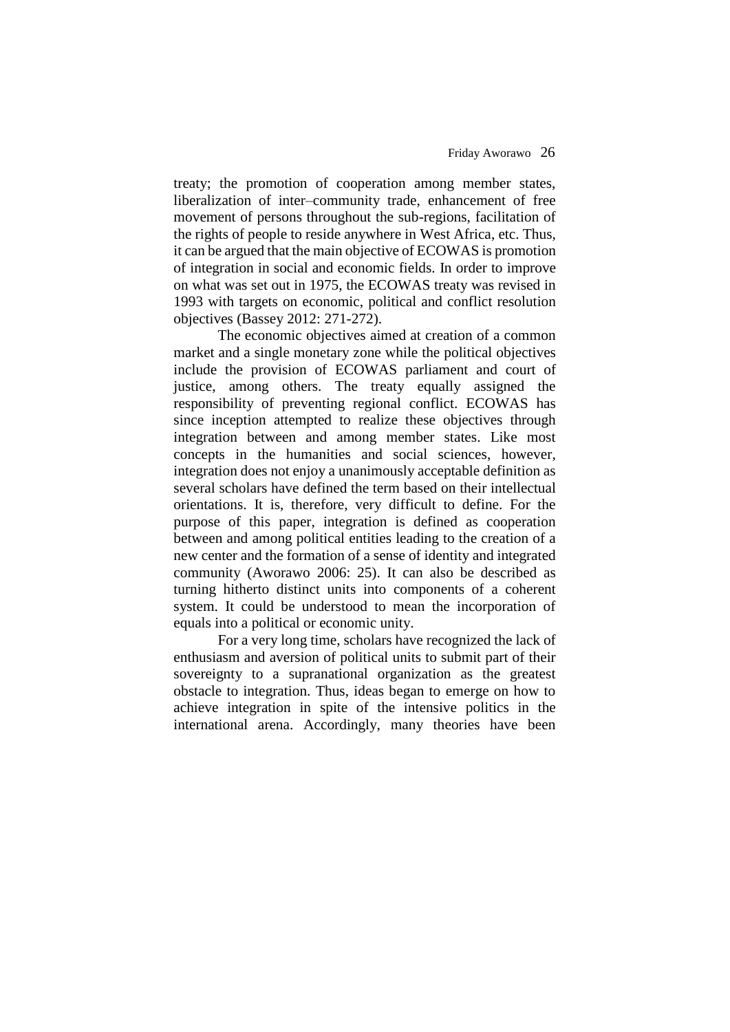treaty; the promotion of cooperation among member states, liberalization of inter–community trade, enhancement of free movement of persons throughout the sub-regions, facilitation of the rights of people to reside anywhere in West Africa, etc. Thus, it can be argued that the main objective of ECOWAS is promotion of integration in social and economic fields. In order to improve on what was set out in 1975, the ECOWAS treaty was revised in 1993 with targets on economic, political and conflict resolution objectives (Bassey 2012: 271-272).

The economic objectives aimed at creation of a common market and a single monetary zone while the political objectives include the provision of ECOWAS parliament and court of justice, among others. The treaty equally assigned the responsibility of preventing regional conflict. ECOWAS has since inception attempted to realize these objectives through integration between and among member states. Like most concepts in the humanities and social sciences, however, integration does not enjoy a unanimously acceptable definition as several scholars have defined the term based on their intellectual orientations. It is, therefore, very difficult to define. For the purpose of this paper, integration is defined as cooperation between and among political entities leading to the creation of a new center and the formation of a sense of identity and integrated community (Aworawo 2006: 25). It can also be described as turning hitherto distinct units into components of a coherent system. It could be understood to mean the incorporation of equals into a political or economic unity.

For a very long time, scholars have recognized the lack of enthusiasm and aversion of political units to submit part of their sovereignty to a supranational organization as the greatest obstacle to integration. Thus, ideas began to emerge on how to achieve integration in spite of the intensive politics in the international arena. Accordingly, many theories have been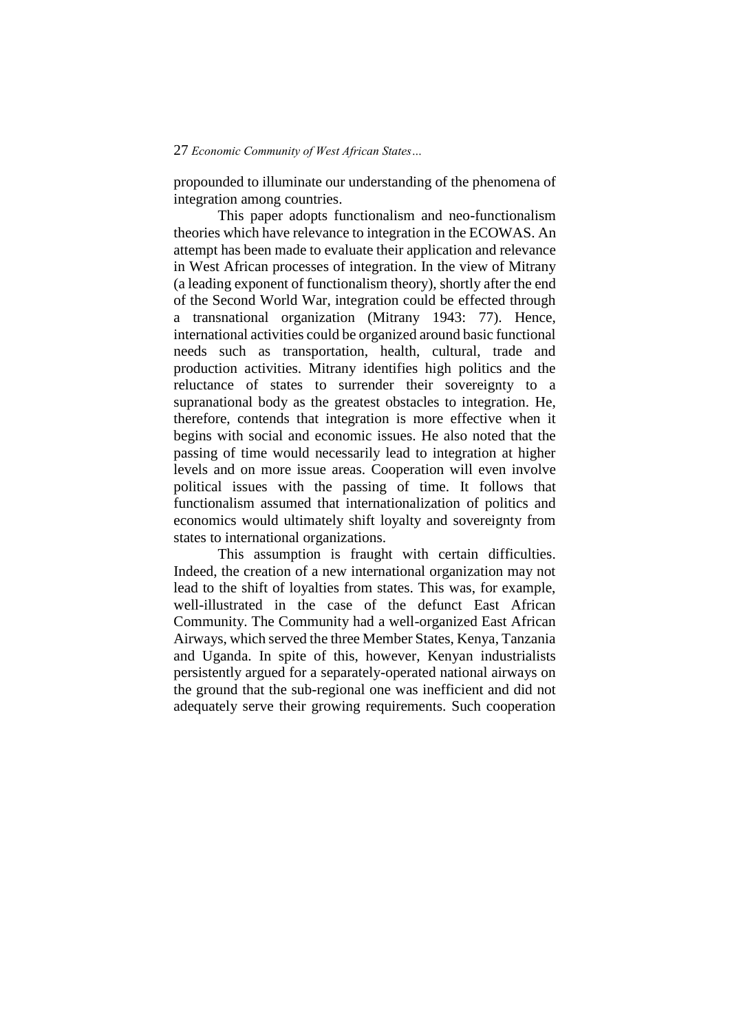propounded to illuminate our understanding of the phenomena of integration among countries.

This paper adopts functionalism and neo-functionalism theories which have relevance to integration in the ECOWAS. An attempt has been made to evaluate their application and relevance in West African processes of integration. In the view of Mitrany (a leading exponent of functionalism theory), shortly after the end of the Second World War, integration could be effected through a transnational organization (Mitrany 1943: 77). Hence, international activities could be organized around basic functional needs such as transportation, health, cultural, trade and production activities. Mitrany identifies high politics and the reluctance of states to surrender their sovereignty to a supranational body as the greatest obstacles to integration. He, therefore, contends that integration is more effective when it begins with social and economic issues. He also noted that the passing of time would necessarily lead to integration at higher levels and on more issue areas. Cooperation will even involve political issues with the passing of time. It follows that functionalism assumed that internationalization of politics and economics would ultimately shift loyalty and sovereignty from states to international organizations.

This assumption is fraught with certain difficulties. Indeed, the creation of a new international organization may not lead to the shift of loyalties from states. This was, for example, well-illustrated in the case of the defunct East African Community. The Community had a well-organized East African Airways, which served the three Member States, Kenya, Tanzania and Uganda. In spite of this, however, Kenyan industrialists persistently argued for a separately-operated national airways on the ground that the sub-regional one was inefficient and did not adequately serve their growing requirements. Such cooperation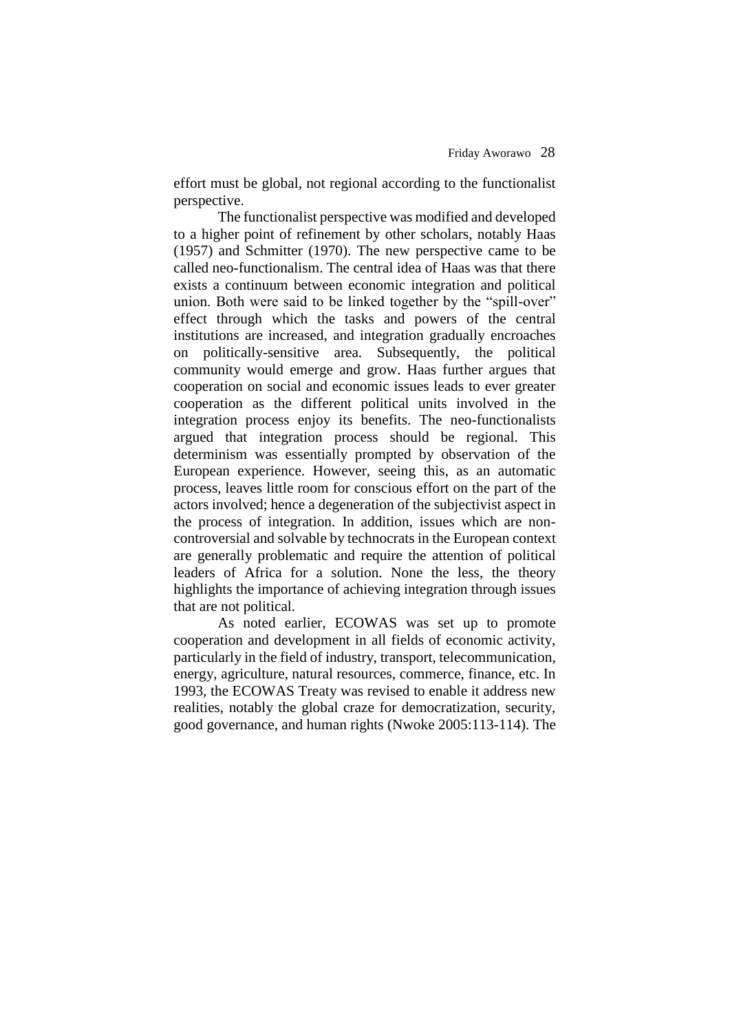effort must be global, not regional according to the functionalist perspective.

The functionalist perspective was modified and developed to a higher point of refinement by other scholars, notably Haas (1957) and Schmitter (1970). The new perspective came to be called neo-functionalism. The central idea of Haas was that there exists a continuum between economic integration and political union. Both were said to be linked together by the "spill-over" effect through which the tasks and powers of the central institutions are increased, and integration gradually encroaches on politically-sensitive area. Subsequently, the political community would emerge and grow. Haas further argues that cooperation on social and economic issues leads to ever greater cooperation as the different political units involved in the integration process enjoy its benefits. The neo-functionalists argued that integration process should be regional. This determinism was essentially prompted by observation of the European experience. However, seeing this, as an automatic process, leaves little room for conscious effort on the part of the actors involved; hence a degeneration of the subjectivist aspect in the process of integration. In addition, issues which are noncontroversial and solvable by technocrats in the European context are generally problematic and require the attention of political leaders of Africa for a solution. None the less, the theory highlights the importance of achieving integration through issues that are not political.

As noted earlier, ECOWAS was set up to promote cooperation and development in all fields of economic activity, particularly in the field of industry, transport, telecommunication, energy, agriculture, natural resources, commerce, finance, etc. In 1993, the ECOWAS Treaty was revised to enable it address new realities, notably the global craze for democratization, security, good governance, and human rights (Nwoke 2005:113-114). The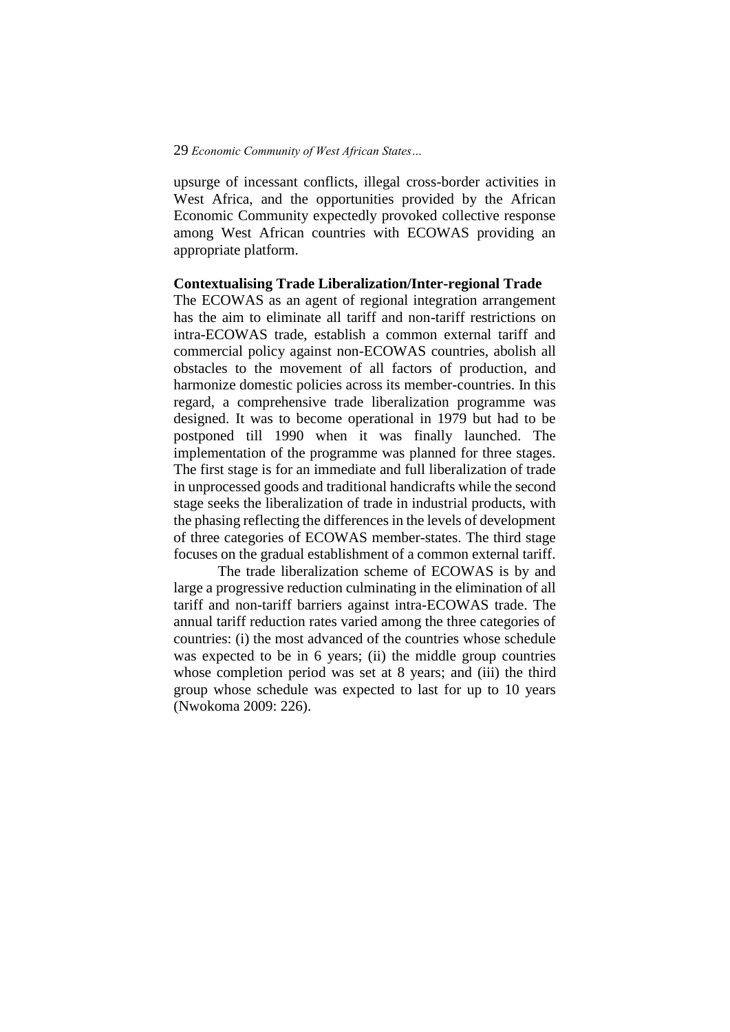upsurge of incessant conflicts, illegal cross-border activities in West Africa, and the opportunities provided by the African Economic Community expectedly provoked collective response among West African countries with ECOWAS providing an appropriate platform.

# **Contextualising Trade Liberalization/Inter-regional Trade**

The ECOWAS as an agent of regional integration arrangement has the aim to eliminate all tariff and non-tariff restrictions on intra-ECOWAS trade, establish a common external tariff and commercial policy against non-ECOWAS countries, abolish all obstacles to the movement of all factors of production, and harmonize domestic policies across its member-countries. In this regard, a comprehensive trade liberalization programme was designed. It was to become operational in 1979 but had to be postponed till 1990 when it was finally launched. The implementation of the programme was planned for three stages. The first stage is for an immediate and full liberalization of trade in unprocessed goods and traditional handicrafts while the second stage seeks the liberalization of trade in industrial products, with the phasing reflecting the differences in the levels of development of three categories of ECOWAS member-states. The third stage focuses on the gradual establishment of a common external tariff.

The trade liberalization scheme of ECOWAS is by and large a progressive reduction culminating in the elimination of all tariff and non-tariff barriers against intra-ECOWAS trade. The annual tariff reduction rates varied among the three categories of countries: (i) the most advanced of the countries whose schedule was expected to be in 6 years; (ii) the middle group countries whose completion period was set at 8 years; and (iii) the third group whose schedule was expected to last for up to 10 years (Nwokoma 2009: 226).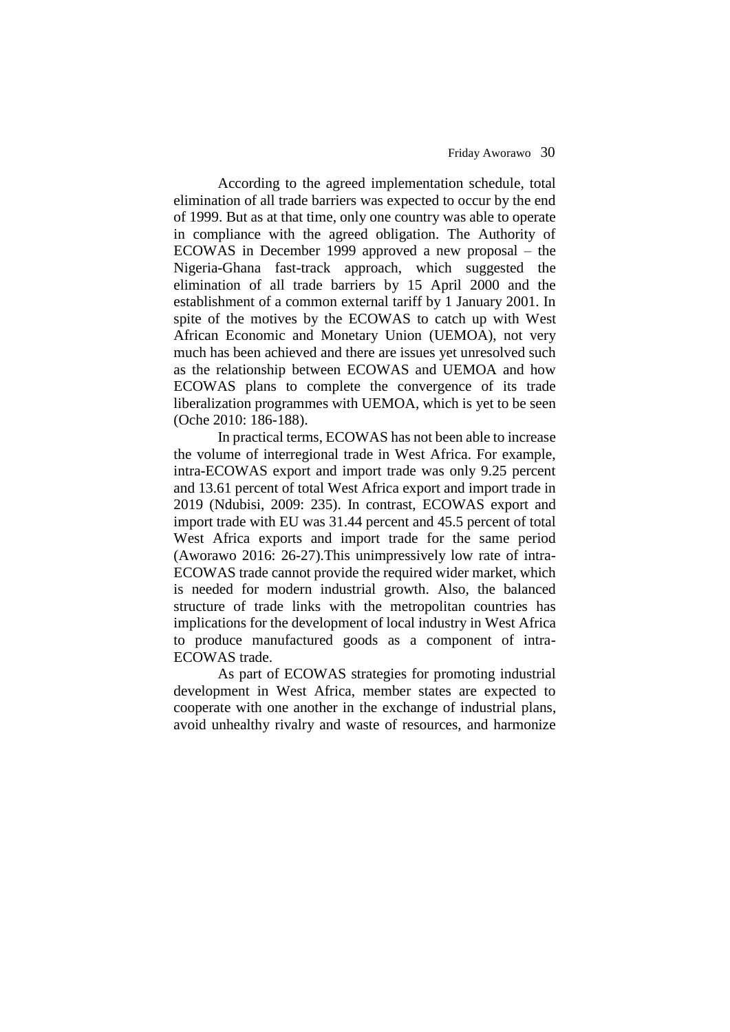According to the agreed implementation schedule, total elimination of all trade barriers was expected to occur by the end of 1999. But as at that time, only one country was able to operate in compliance with the agreed obligation. The Authority of ECOWAS in December 1999 approved a new proposal – the Nigeria-Ghana fast-track approach, which suggested the elimination of all trade barriers by 15 April 2000 and the establishment of a common external tariff by 1 January 2001. In spite of the motives by the ECOWAS to catch up with West African Economic and Monetary Union (UEMOA), not very much has been achieved and there are issues yet unresolved such as the relationship between ECOWAS and UEMOA and how ECOWAS plans to complete the convergence of its trade liberalization programmes with UEMOA, which is yet to be seen (Oche 2010: 186-188).

In practical terms, ECOWAS has not been able to increase the volume of interregional trade in West Africa. For example, intra-ECOWAS export and import trade was only 9.25 percent and 13.61 percent of total West Africa export and import trade in 2019 (Ndubisi, 2009: 235). In contrast, ECOWAS export and import trade with EU was 31.44 percent and 45.5 percent of total West Africa exports and import trade for the same period (Aworawo 2016: 26-27).This unimpressively low rate of intra-ECOWAS trade cannot provide the required wider market, which is needed for modern industrial growth. Also, the balanced structure of trade links with the metropolitan countries has implications for the development of local industry in West Africa to produce manufactured goods as a component of intra-ECOWAS trade.

As part of ECOWAS strategies for promoting industrial development in West Africa, member states are expected to cooperate with one another in the exchange of industrial plans, avoid unhealthy rivalry and waste of resources, and harmonize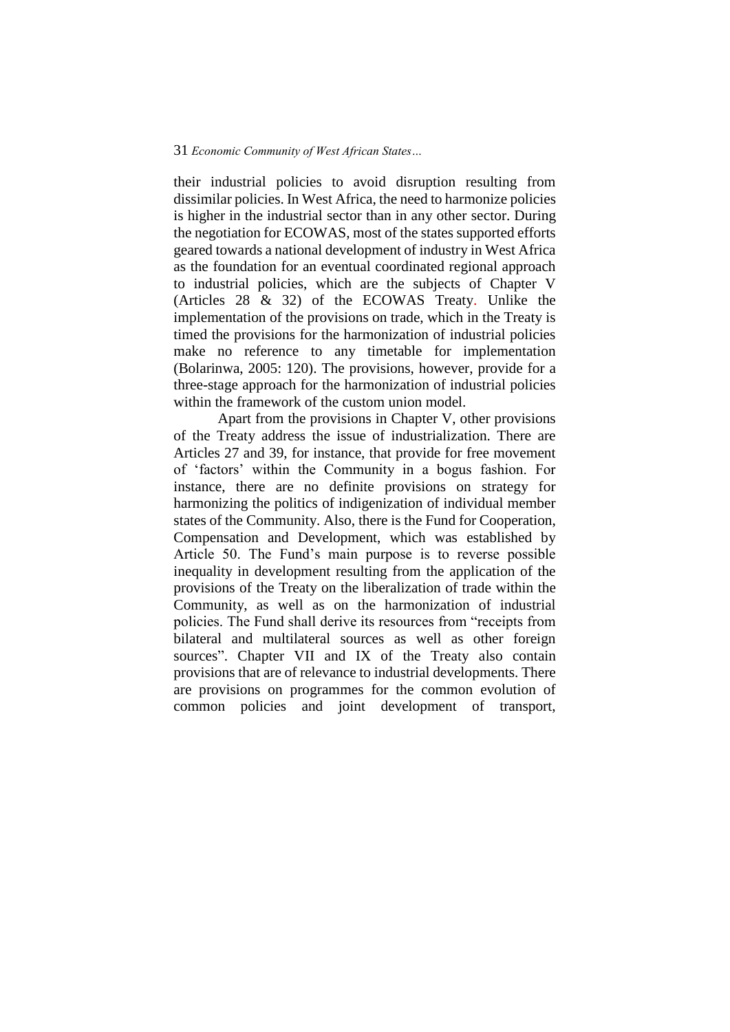their industrial policies to avoid disruption resulting from dissimilar policies. In West Africa, the need to harmonize policies is higher in the industrial sector than in any other sector. During the negotiation for ECOWAS, most of the states supported efforts geared towards a national development of industry in West Africa as the foundation for an eventual coordinated regional approach to industrial policies, which are the subjects of Chapter V (Articles 28 & 32) of the ECOWAS Treaty. Unlike the implementation of the provisions on trade, which in the Treaty is timed the provisions for the harmonization of industrial policies make no reference to any timetable for implementation (Bolarinwa, 2005: 120). The provisions, however, provide for a three-stage approach for the harmonization of industrial policies within the framework of the custom union model.

Apart from the provisions in Chapter V, other provisions of the Treaty address the issue of industrialization. There are Articles 27 and 39, for instance, that provide for free movement of 'factors' within the Community in a bogus fashion. For instance, there are no definite provisions on strategy for harmonizing the politics of indigenization of individual member states of the Community. Also, there is the Fund for Cooperation, Compensation and Development, which was established by Article 50. The Fund's main purpose is to reverse possible inequality in development resulting from the application of the provisions of the Treaty on the liberalization of trade within the Community, as well as on the harmonization of industrial policies. The Fund shall derive its resources from "receipts from bilateral and multilateral sources as well as other foreign sources". Chapter VII and IX of the Treaty also contain provisions that are of relevance to industrial developments. There are provisions on programmes for the common evolution of common policies and joint development of transport,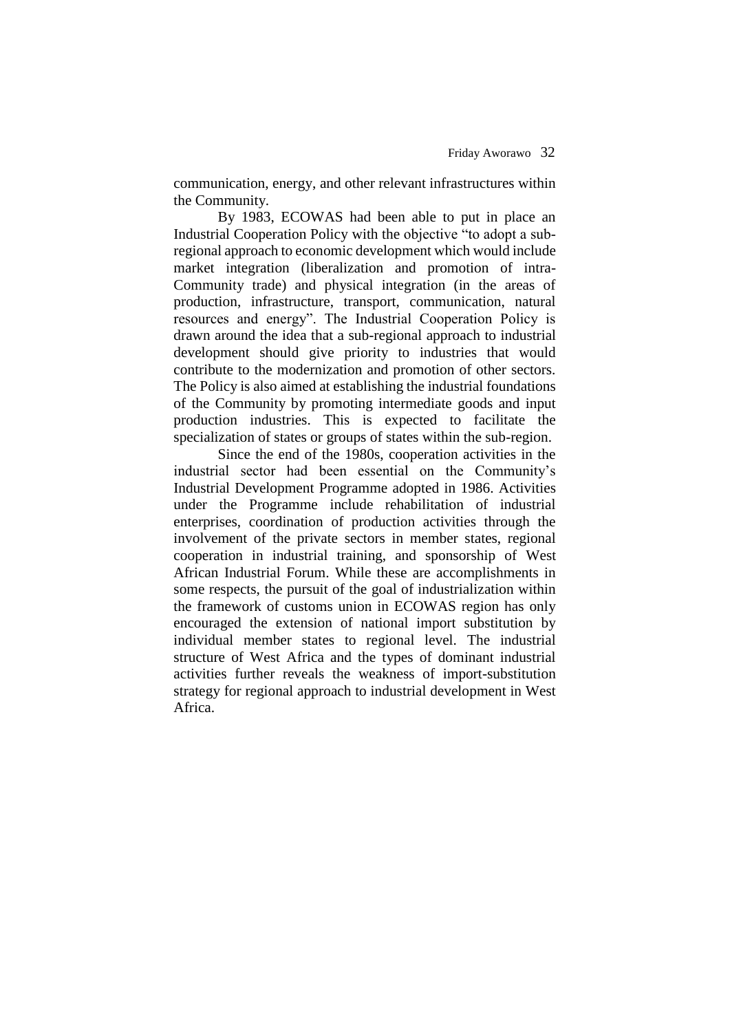communication, energy, and other relevant infrastructures within the Community.

By 1983, ECOWAS had been able to put in place an Industrial Cooperation Policy with the objective "to adopt a subregional approach to economic development which would include market integration (liberalization and promotion of intra-Community trade) and physical integration (in the areas of production, infrastructure, transport, communication, natural resources and energy". The Industrial Cooperation Policy is drawn around the idea that a sub-regional approach to industrial development should give priority to industries that would contribute to the modernization and promotion of other sectors. The Policy is also aimed at establishing the industrial foundations of the Community by promoting intermediate goods and input production industries. This is expected to facilitate the specialization of states or groups of states within the sub-region.

Since the end of the 1980s, cooperation activities in the industrial sector had been essential on the Community's Industrial Development Programme adopted in 1986. Activities under the Programme include rehabilitation of industrial enterprises, coordination of production activities through the involvement of the private sectors in member states, regional cooperation in industrial training, and sponsorship of West African Industrial Forum. While these are accomplishments in some respects, the pursuit of the goal of industrialization within the framework of customs union in ECOWAS region has only encouraged the extension of national import substitution by individual member states to regional level. The industrial structure of West Africa and the types of dominant industrial activities further reveals the weakness of import-substitution strategy for regional approach to industrial development in West Africa.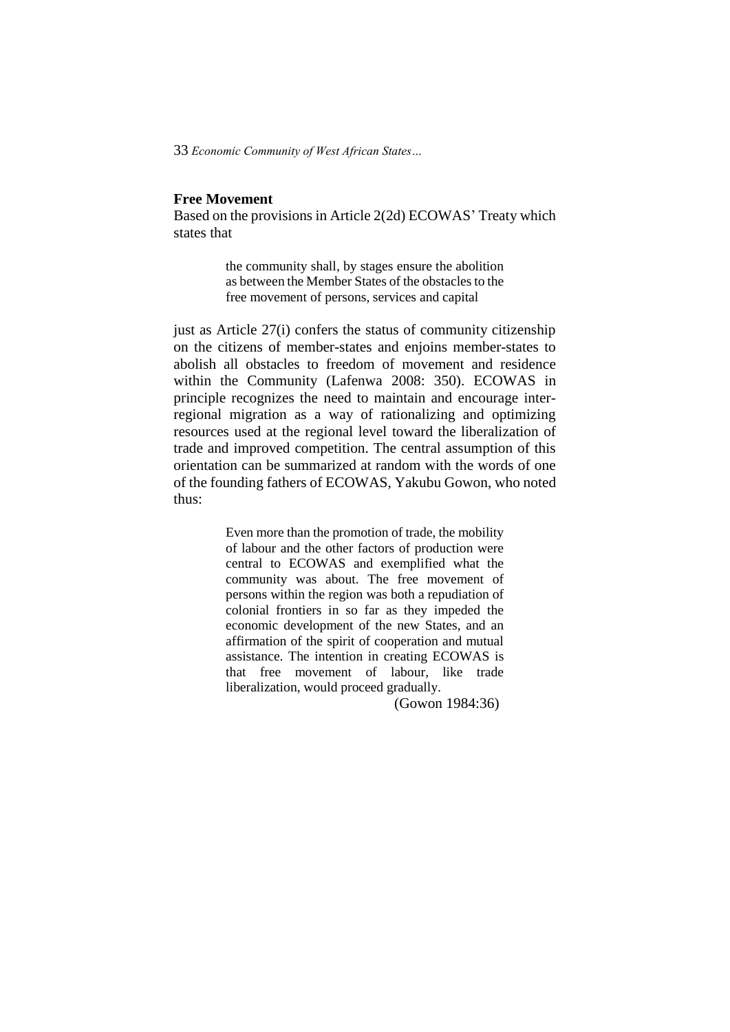# **Free Movement**

Based on the provisions in Article 2(2d) ECOWAS' Treaty which states that

> the community shall, by stages ensure the abolition as between the Member States of the obstacles to the free movement of persons, services and capital

just as Article 27(i) confers the status of community citizenship on the citizens of member-states and enjoins member-states to abolish all obstacles to freedom of movement and residence within the Community (Lafenwa 2008: 350). ECOWAS in principle recognizes the need to maintain and encourage interregional migration as a way of rationalizing and optimizing resources used at the regional level toward the liberalization of trade and improved competition. The central assumption of this orientation can be summarized at random with the words of one of the founding fathers of ECOWAS, Yakubu Gowon, who noted thus:

> Even more than the promotion of trade, the mobility of labour and the other factors of production were central to ECOWAS and exemplified what the community was about. The free movement of persons within the region was both a repudiation of colonial frontiers in so far as they impeded the economic development of the new States, and an affirmation of the spirit of cooperation and mutual assistance. The intention in creating ECOWAS is that free movement of labour, like trade liberalization, would proceed gradually.

> > (Gowon 1984:36)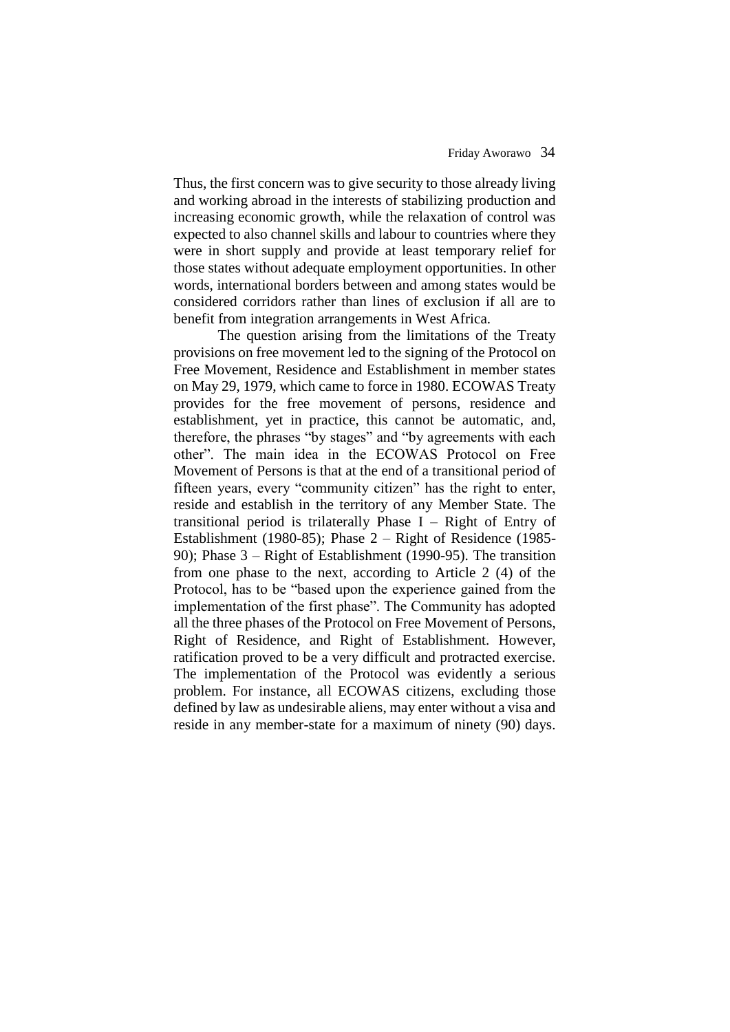#### Friday Aworawo34

Thus, the first concern was to give security to those already living and working abroad in the interests of stabilizing production and increasing economic growth, while the relaxation of control was expected to also channel skills and labour to countries where they were in short supply and provide at least temporary relief for those states without adequate employment opportunities. In other words, international borders between and among states would be considered corridors rather than lines of exclusion if all are to benefit from integration arrangements in West Africa.

The question arising from the limitations of the Treaty provisions on free movement led to the signing of the Protocol on Free Movement, Residence and Establishment in member states on May 29, 1979, which came to force in 1980. ECOWAS Treaty provides for the free movement of persons, residence and establishment, yet in practice, this cannot be automatic, and, therefore, the phrases "by stages" and "by agreements with each other". The main idea in the ECOWAS Protocol on Free Movement of Persons is that at the end of a transitional period of fifteen years, every "community citizen" has the right to enter, reside and establish in the territory of any Member State. The transitional period is trilaterally Phase I – Right of Entry of Establishment (1980-85); Phase 2 – Right of Residence (1985- 90); Phase 3 – Right of Establishment (1990-95). The transition from one phase to the next, according to Article 2 (4) of the Protocol, has to be "based upon the experience gained from the implementation of the first phase". The Community has adopted all the three phases of the Protocol on Free Movement of Persons, Right of Residence, and Right of Establishment. However, ratification proved to be a very difficult and protracted exercise. The implementation of the Protocol was evidently a serious problem. For instance, all ECOWAS citizens, excluding those defined by law as undesirable aliens, may enter without a visa and reside in any member-state for a maximum of ninety (90) days.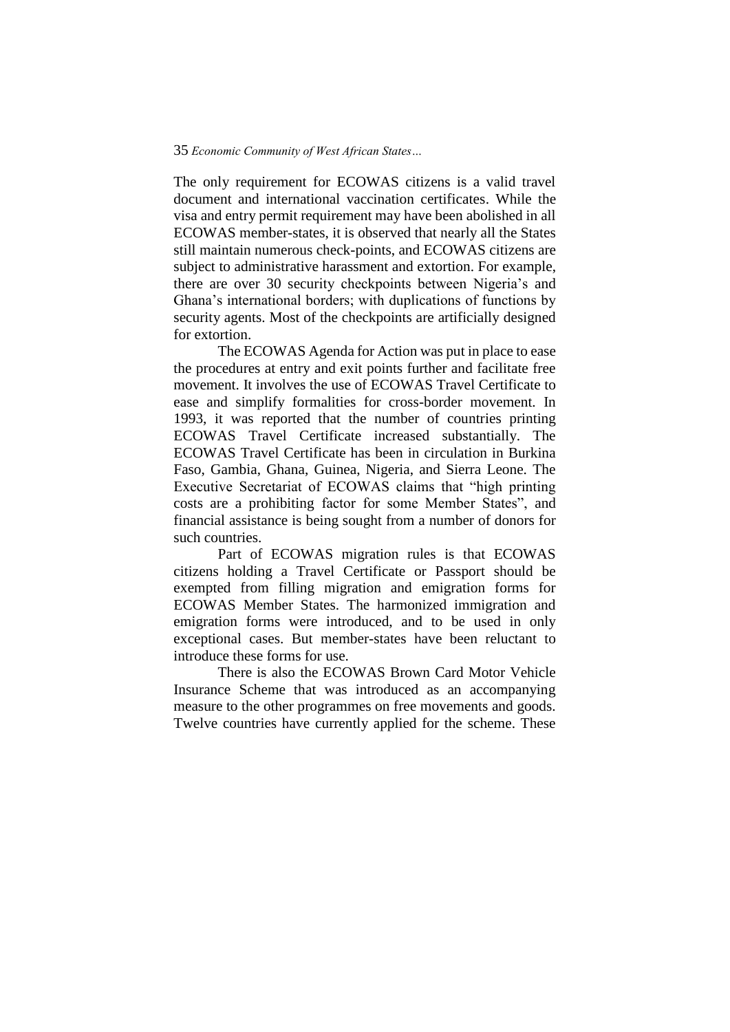The only requirement for ECOWAS citizens is a valid travel document and international vaccination certificates. While the visa and entry permit requirement may have been abolished in all ECOWAS member-states, it is observed that nearly all the States still maintain numerous check-points, and ECOWAS citizens are subject to administrative harassment and extortion. For example, there are over 30 security checkpoints between Nigeria's and Ghana's international borders; with duplications of functions by security agents. Most of the checkpoints are artificially designed for extortion.

The ECOWAS Agenda for Action was put in place to ease the procedures at entry and exit points further and facilitate free movement. It involves the use of ECOWAS Travel Certificate to ease and simplify formalities for cross-border movement. In 1993, it was reported that the number of countries printing ECOWAS Travel Certificate increased substantially. The ECOWAS Travel Certificate has been in circulation in Burkina Faso, Gambia, Ghana, Guinea, Nigeria, and Sierra Leone. The Executive Secretariat of ECOWAS claims that "high printing costs are a prohibiting factor for some Member States", and financial assistance is being sought from a number of donors for such countries.

Part of ECOWAS migration rules is that ECOWAS citizens holding a Travel Certificate or Passport should be exempted from filling migration and emigration forms for ECOWAS Member States. The harmonized immigration and emigration forms were introduced, and to be used in only exceptional cases. But member-states have been reluctant to introduce these forms for use.

There is also the ECOWAS Brown Card Motor Vehicle Insurance Scheme that was introduced as an accompanying measure to the other programmes on free movements and goods. Twelve countries have currently applied for the scheme. These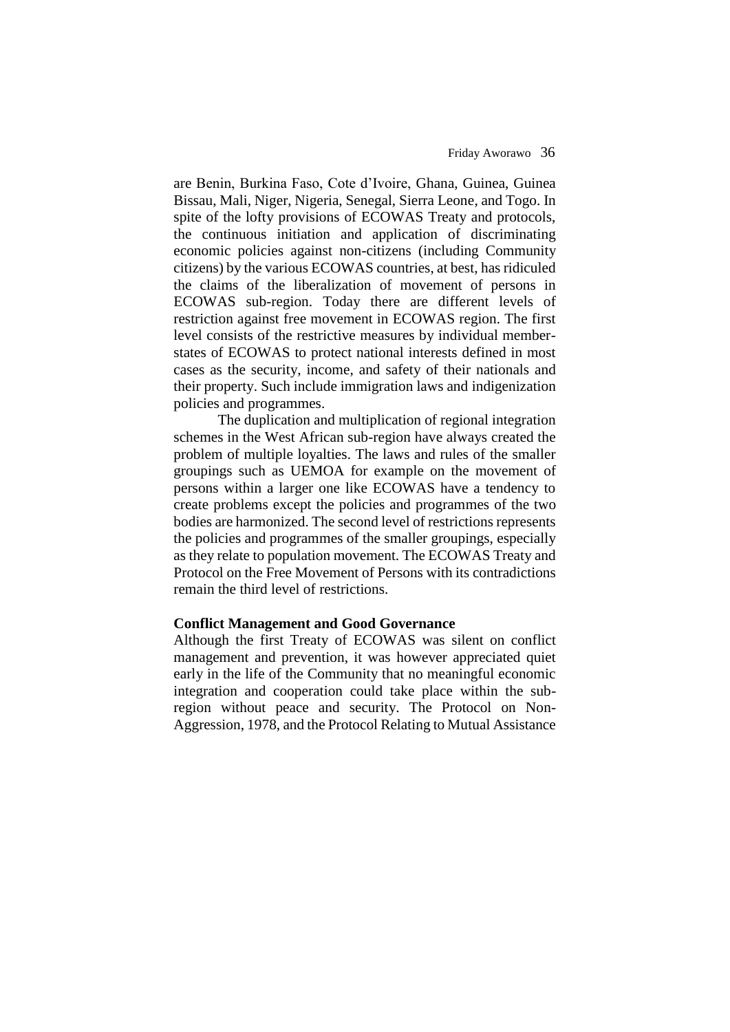are Benin, Burkina Faso, Cote d'Ivoire, Ghana, Guinea, Guinea Bissau, Mali, Niger, Nigeria, Senegal, Sierra Leone, and Togo. In spite of the lofty provisions of ECOWAS Treaty and protocols, the continuous initiation and application of discriminating economic policies against non-citizens (including Community citizens) by the various ECOWAS countries, at best, has ridiculed the claims of the liberalization of movement of persons in ECOWAS sub-region. Today there are different levels of restriction against free movement in ECOWAS region. The first level consists of the restrictive measures by individual memberstates of ECOWAS to protect national interests defined in most cases as the security, income, and safety of their nationals and their property. Such include immigration laws and indigenization policies and programmes.

The duplication and multiplication of regional integration schemes in the West African sub-region have always created the problem of multiple loyalties. The laws and rules of the smaller groupings such as UEMOA for example on the movement of persons within a larger one like ECOWAS have a tendency to create problems except the policies and programmes of the two bodies are harmonized. The second level of restrictions represents the policies and programmes of the smaller groupings, especially as they relate to population movement. The ECOWAS Treaty and Protocol on the Free Movement of Persons with its contradictions remain the third level of restrictions.

# **Conflict Management and Good Governance**

Although the first Treaty of ECOWAS was silent on conflict management and prevention, it was however appreciated quiet early in the life of the Community that no meaningful economic integration and cooperation could take place within the subregion without peace and security. The Protocol on Non-Aggression, 1978, and the Protocol Relating to Mutual Assistance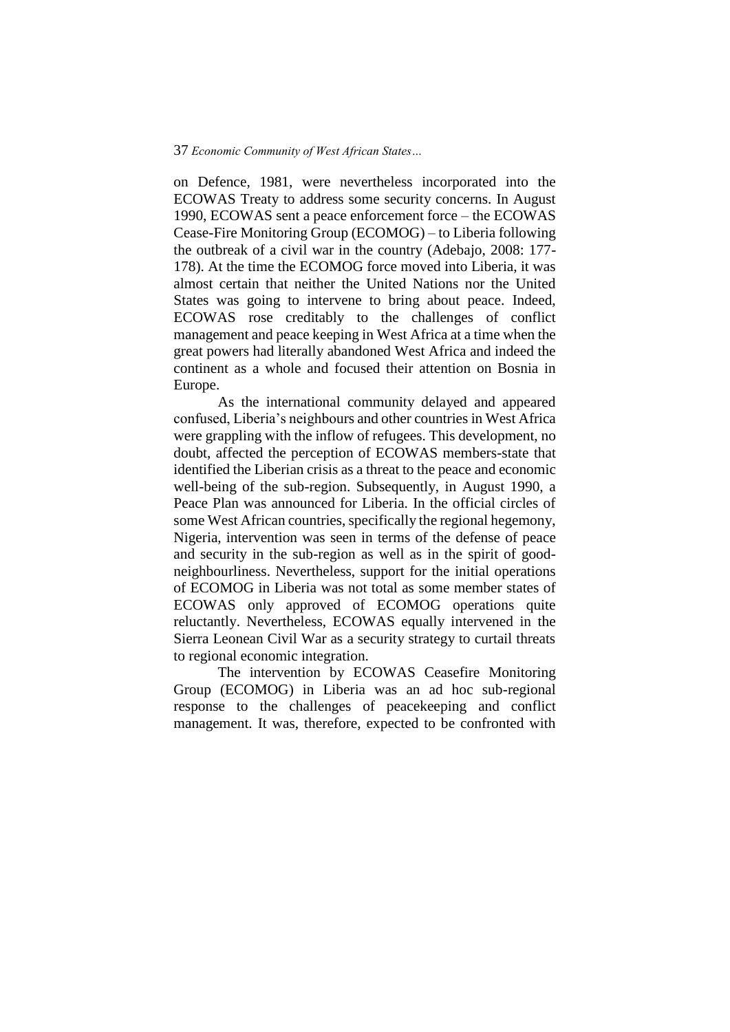on Defence, 1981, were nevertheless incorporated into the ECOWAS Treaty to address some security concerns. In August 1990, ECOWAS sent a peace enforcement force – the ECOWAS Cease-Fire Monitoring Group (ECOMOG) – to Liberia following the outbreak of a civil war in the country (Adebajo, 2008: 177- 178). At the time the ECOMOG force moved into Liberia, it was almost certain that neither the United Nations nor the United States was going to intervene to bring about peace. Indeed, ECOWAS rose creditably to the challenges of conflict management and peace keeping in West Africa at a time when the great powers had literally abandoned West Africa and indeed the continent as a whole and focused their attention on Bosnia in Europe.

As the international community delayed and appeared confused, Liberia's neighbours and other countries in West Africa were grappling with the inflow of refugees. This development, no doubt, affected the perception of ECOWAS members-state that identified the Liberian crisis as a threat to the peace and economic well-being of the sub-region. Subsequently, in August 1990, a Peace Plan was announced for Liberia. In the official circles of some West African countries, specifically the regional hegemony, Nigeria, intervention was seen in terms of the defense of peace and security in the sub-region as well as in the spirit of goodneighbourliness. Nevertheless, support for the initial operations of ECOMOG in Liberia was not total as some member states of ECOWAS only approved of ECOMOG operations quite reluctantly. Nevertheless, ECOWAS equally intervened in the Sierra Leonean Civil War as a security strategy to curtail threats to regional economic integration.

The intervention by ECOWAS Ceasefire Monitoring Group (ECOMOG) in Liberia was an ad hoc sub-regional response to the challenges of peacekeeping and conflict management. It was, therefore, expected to be confronted with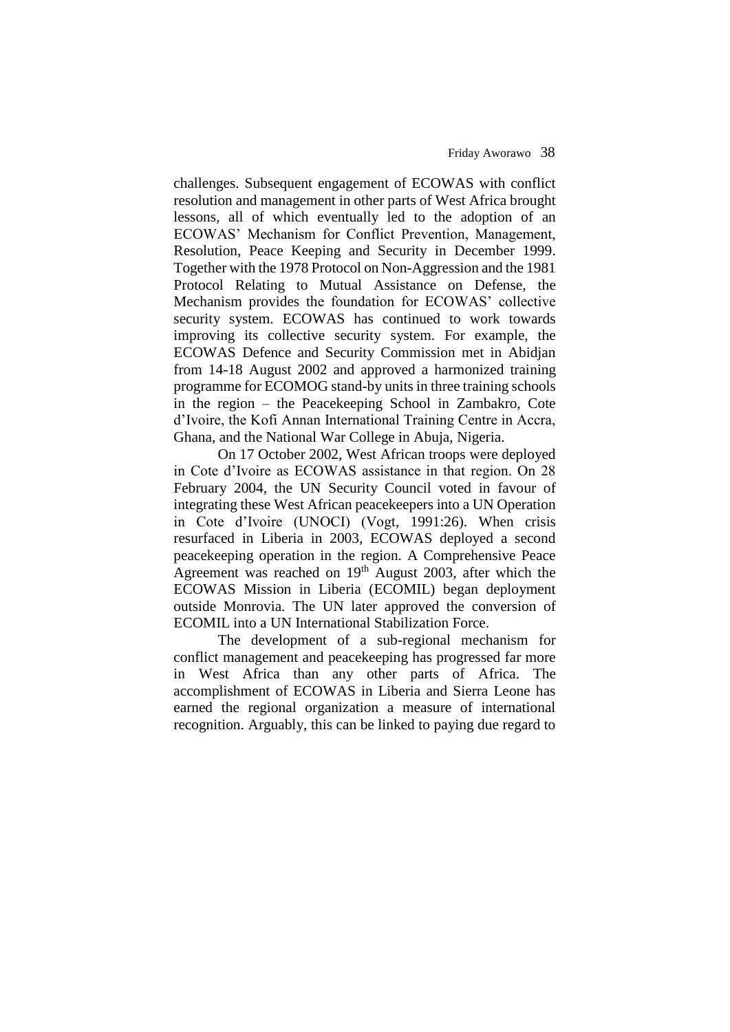challenges. Subsequent engagement of ECOWAS with conflict resolution and management in other parts of West Africa brought lessons, all of which eventually led to the adoption of an ECOWAS' Mechanism for Conflict Prevention, Management, Resolution, Peace Keeping and Security in December 1999. Together with the 1978 Protocol on Non-Aggression and the 1981 Protocol Relating to Mutual Assistance on Defense, the Mechanism provides the foundation for ECOWAS' collective security system. ECOWAS has continued to work towards improving its collective security system. For example, the ECOWAS Defence and Security Commission met in Abidjan from 14-18 August 2002 and approved a harmonized training programme for ECOMOG stand-by units in three training schools in the region – the Peacekeeping School in Zambakro, Cote d'Ivoire, the Kofi Annan International Training Centre in Accra, Ghana, and the National War College in Abuja, Nigeria.

On 17 October 2002, West African troops were deployed in Cote d'Ivoire as ECOWAS assistance in that region. On 28 February 2004, the UN Security Council voted in favour of integrating these West African peacekeepers into a UN Operation in Cote d'Ivoire (UNOCI) (Vogt, 1991:26). When crisis resurfaced in Liberia in 2003, ECOWAS deployed a second peacekeeping operation in the region. A Comprehensive Peace Agreement was reached on  $19<sup>th</sup>$  August 2003, after which the ECOWAS Mission in Liberia (ECOMIL) began deployment outside Monrovia. The UN later approved the conversion of ECOMIL into a UN International Stabilization Force.

The development of a sub-regional mechanism for conflict management and peacekeeping has progressed far more in West Africa than any other parts of Africa. The accomplishment of ECOWAS in Liberia and Sierra Leone has earned the regional organization a measure of international recognition. Arguably, this can be linked to paying due regard to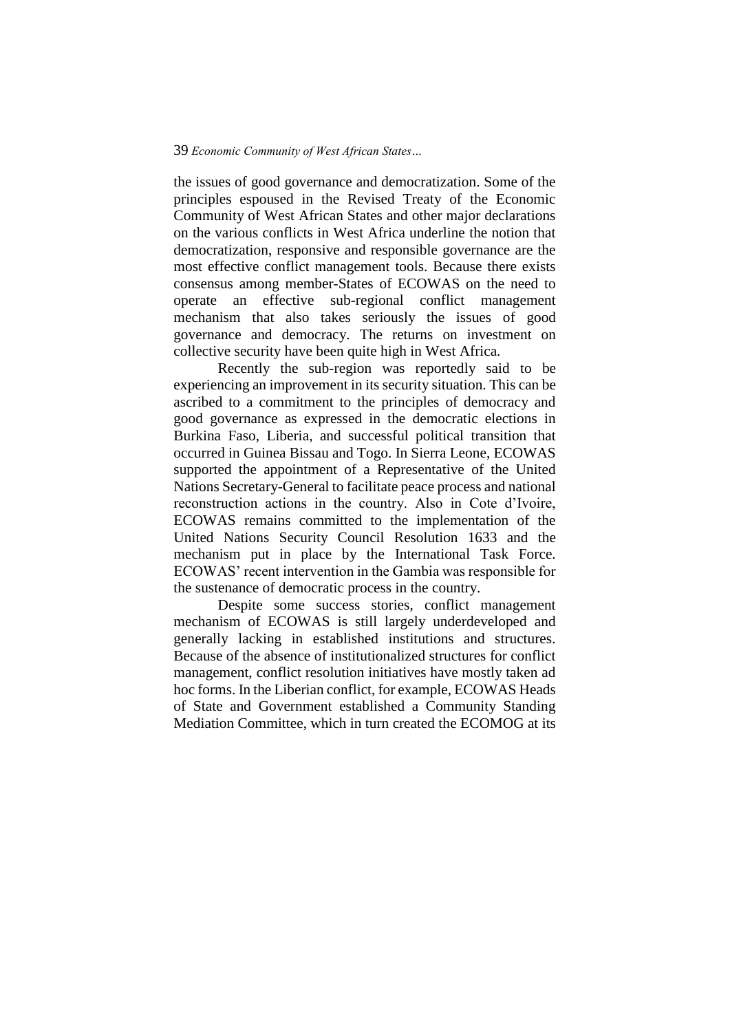the issues of good governance and democratization. Some of the principles espoused in the Revised Treaty of the Economic Community of West African States and other major declarations on the various conflicts in West Africa underline the notion that democratization, responsive and responsible governance are the most effective conflict management tools. Because there exists consensus among member-States of ECOWAS on the need to operate an effective sub-regional conflict management mechanism that also takes seriously the issues of good governance and democracy. The returns on investment on collective security have been quite high in West Africa.

Recently the sub-region was reportedly said to be experiencing an improvement in its security situation. This can be ascribed to a commitment to the principles of democracy and good governance as expressed in the democratic elections in Burkina Faso, Liberia, and successful political transition that occurred in Guinea Bissau and Togo. In Sierra Leone, ECOWAS supported the appointment of a Representative of the United Nations Secretary-General to facilitate peace process and national reconstruction actions in the country. Also in Cote d'Ivoire, ECOWAS remains committed to the implementation of the United Nations Security Council Resolution 1633 and the mechanism put in place by the International Task Force. ECOWAS' recent intervention in the Gambia was responsible for the sustenance of democratic process in the country.

Despite some success stories, conflict management mechanism of ECOWAS is still largely underdeveloped and generally lacking in established institutions and structures. Because of the absence of institutionalized structures for conflict management, conflict resolution initiatives have mostly taken ad hoc forms. In the Liberian conflict, for example, ECOWAS Heads of State and Government established a Community Standing Mediation Committee, which in turn created the ECOMOG at its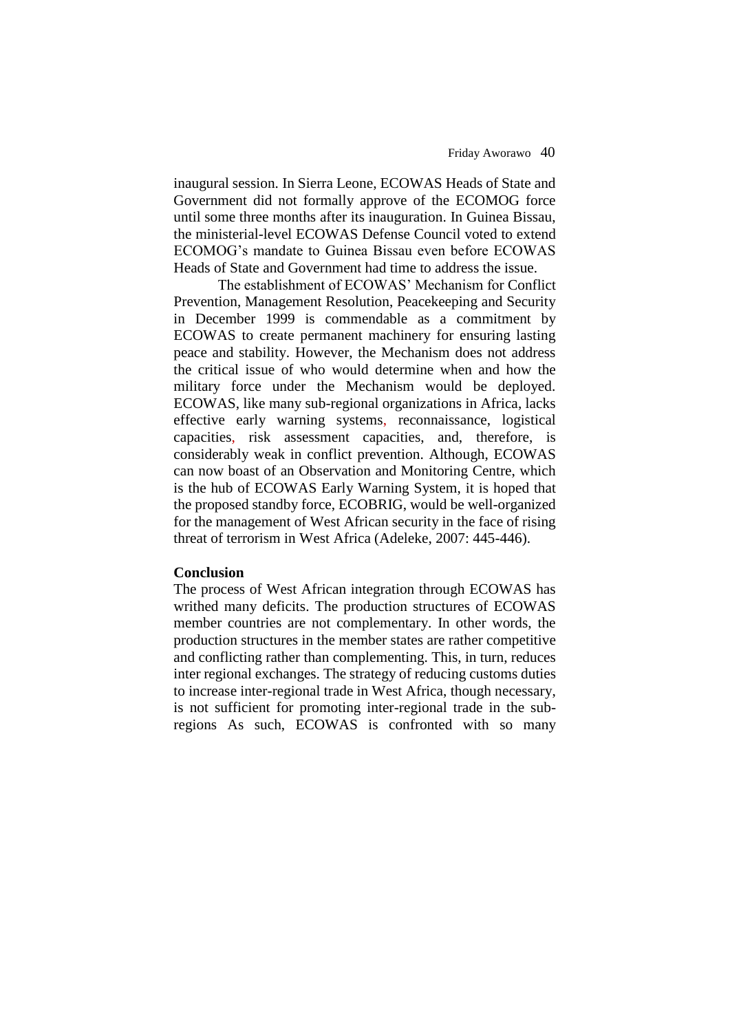#### Friday Aworawo40

inaugural session. In Sierra Leone, ECOWAS Heads of State and Government did not formally approve of the ECOMOG force until some three months after its inauguration. In Guinea Bissau, the ministerial-level ECOWAS Defense Council voted to extend ECOMOG's mandate to Guinea Bissau even before ECOWAS Heads of State and Government had time to address the issue.

The establishment of ECOWAS' Mechanism for Conflict Prevention, Management Resolution, Peacekeeping and Security in December 1999 is commendable as a commitment by ECOWAS to create permanent machinery for ensuring lasting peace and stability. However, the Mechanism does not address the critical issue of who would determine when and how the military force under the Mechanism would be deployed. ECOWAS, like many sub-regional organizations in Africa, lacks effective early warning systems, reconnaissance, logistical capacities, risk assessment capacities, and, therefore, is considerably weak in conflict prevention. Although, ECOWAS can now boast of an Observation and Monitoring Centre, which is the hub of ECOWAS Early Warning System, it is hoped that the proposed standby force, ECOBRIG, would be well-organized for the management of West African security in the face of rising threat of terrorism in West Africa (Adeleke, 2007: 445-446).

### **Conclusion**

The process of West African integration through ECOWAS has writhed many deficits. The production structures of ECOWAS member countries are not complementary. In other words, the production structures in the member states are rather competitive and conflicting rather than complementing. This, in turn, reduces inter regional exchanges. The strategy of reducing customs duties to increase inter-regional trade in West Africa, though necessary, is not sufficient for promoting inter-regional trade in the subregions As such, ECOWAS is confronted with so many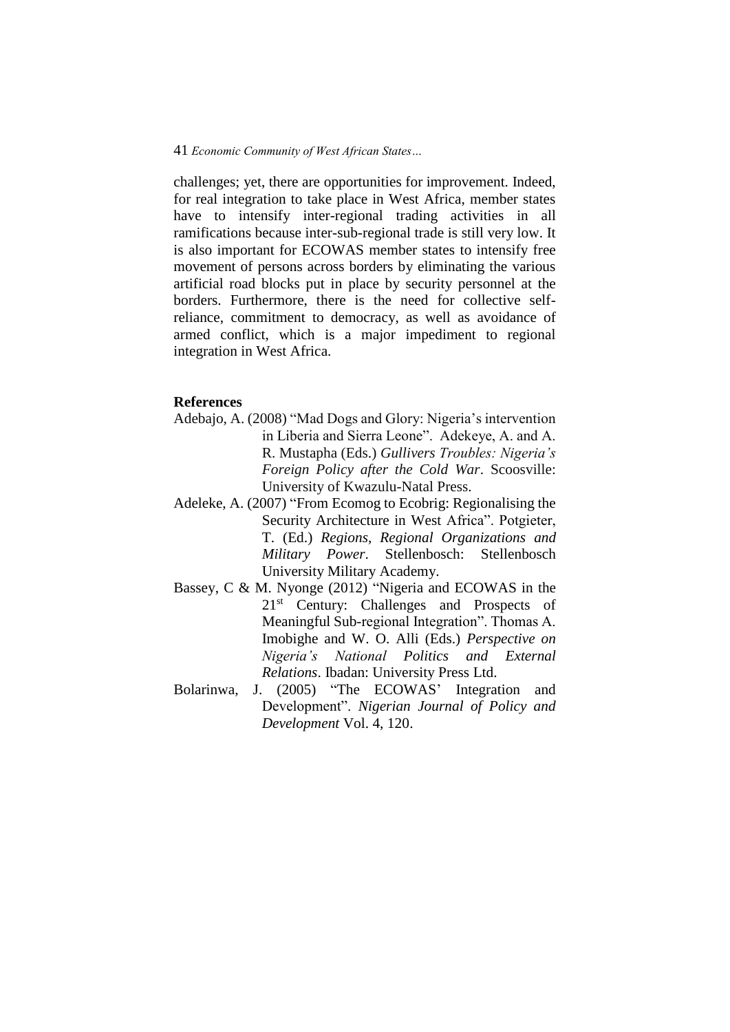challenges; yet, there are opportunities for improvement. Indeed, for real integration to take place in West Africa, member states have to intensify inter-regional trading activities in all ramifications because inter-sub-regional trade is still very low. It is also important for ECOWAS member states to intensify free movement of persons across borders by eliminating the various artificial road blocks put in place by security personnel at the borders. Furthermore, there is the need for collective selfreliance, commitment to democracy, as well as avoidance of armed conflict, which is a major impediment to regional integration in West Africa.

# **References**

- Adebajo, A. (2008) "Mad Dogs and Glory: Nigeria's intervention in Liberia and Sierra Leone". Adekeye, A. and A. R. Mustapha (Eds.) *Gullivers Troubles: Nigeria's Foreign Policy after the Cold War*. Scoosville: University of Kwazulu-Natal Press.
- Adeleke, A. (2007) "From Ecomog to Ecobrig: Regionalising the Security Architecture in West Africa". Potgieter, T. (Ed.) *Regions, Regional Organizations and Military Power*. Stellenbosch: Stellenbosch University Military Academy.
- Bassey, C & M. Nyonge (2012) "Nigeria and ECOWAS in the 21st Century: Challenges and Prospects of Meaningful Sub-regional Integration". Thomas A. Imobighe and W. O. Alli (Eds.) *Perspective on Nigeria's National Politics and External Relations*. Ibadan: University Press Ltd.
- Bolarinwa, J. (2005) "The ECOWAS' Integration and Development". *Nigerian Journal of Policy and Development* Vol. 4, 120.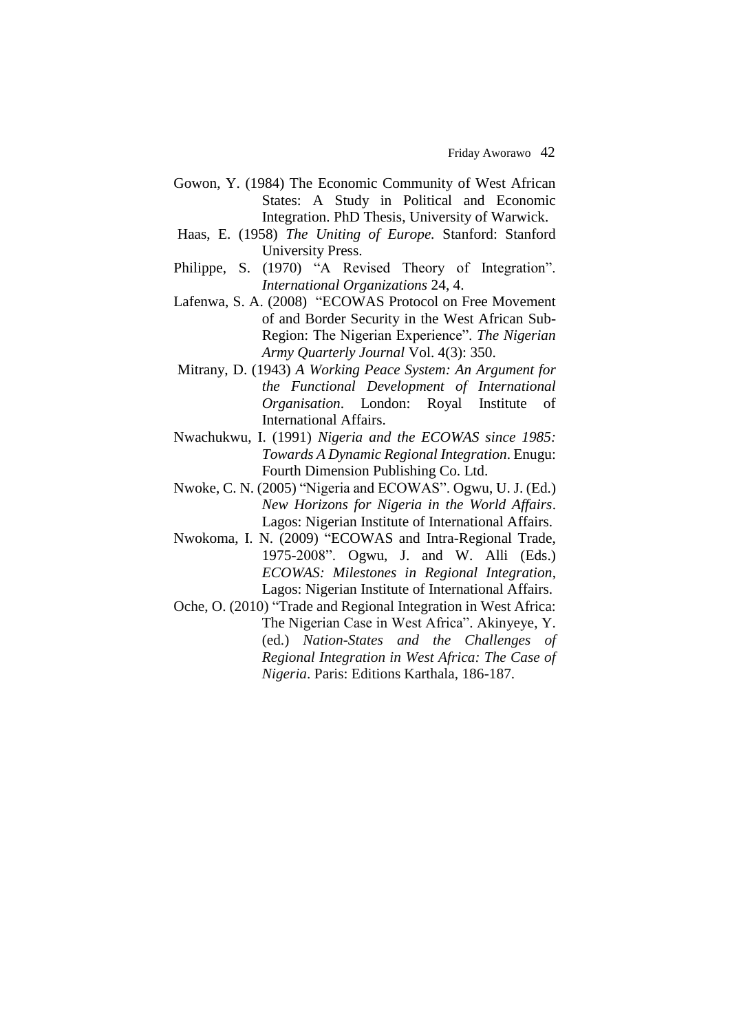- Gowon, Y. (1984) The Economic Community of West African States: A Study in Political and Economic Integration. PhD Thesis, University of Warwick.
- Haas, E. (1958) *The Uniting of Europe.* Stanford: Stanford University Press.
- Philippe, S. (1970) "A Revised Theory of Integration". *International Organizations* 24, 4.
- Lafenwa, S. A. (2008) "ECOWAS Protocol on Free Movement of and Border Security in the West African Sub-Region: The Nigerian Experience". *The Nigerian Army Quarterly Journal* Vol. 4(3): 350.
- Mitrany, D. (1943) *A Working Peace System: An Argument for the Functional Development of International Organisation*. London: Royal Institute of International Affairs.
- Nwachukwu, I. (1991) *Nigeria and the ECOWAS since 1985: Towards A Dynamic Regional Integration*. Enugu: Fourth Dimension Publishing Co. Ltd.
- Nwoke, C. N. (2005) "Nigeria and ECOWAS". Ogwu, U. J. (Ed.) *New Horizons for Nigeria in the World Affairs*. Lagos: Nigerian Institute of International Affairs.
- Nwokoma, I. N. (2009) "ECOWAS and Intra-Regional Trade, 1975-2008". Ogwu, J. and W. Alli (Eds.) *ECOWAS: Milestones in Regional Integration*, Lagos: Nigerian Institute of International Affairs.
- Oche, O. (2010) "Trade and Regional Integration in West Africa: The Nigerian Case in West Africa". Akinyeye, Y. (ed.) *Nation-States and the Challenges of Regional Integration in West Africa: The Case of Nigeria*. Paris: Editions Karthala, 186-187.